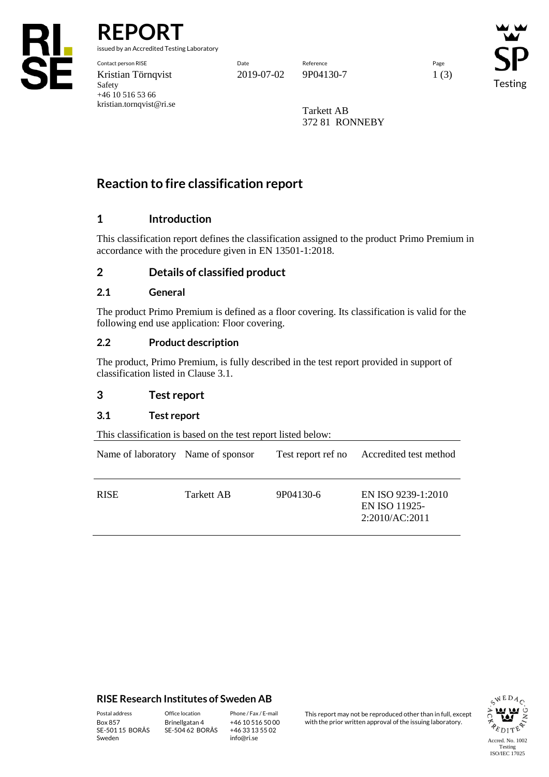

**REPORT**

issued by an Accredited Testing Laboratory

Contact person RISE Date Reference Page Kristian Törnqvist 2019-07-02 9P04130-7 1 (3) Safety +46 10 516 53 66 kristian.tornqvist@ri.se

Testing

Tarkett AB 372 81 RONNEBY

# **Reaction to fire classification report**

# **1 Introduction**

This classification report defines the classification assigned to the product Primo Premium in accordance with the procedure given in EN 13501-1:2018.

## **2 Details of classified product**

### **2.1 General**

The product Primo Premium is defined as a floor covering. Its classification is valid for the following end use application: Floor covering.

### **2.2 Product description**

The product, Primo Premium, is fully described in the test report provided in support of classification listed in Clause 3.1.

### **3 Test report**

### **3.1 Test report**

This classification is based on the test report listed below:

| Name of laboratory Name of sponsor |            | Test report ref no | Accredited test method                                |
|------------------------------------|------------|--------------------|-------------------------------------------------------|
| <b>RISE</b>                        | Tarkett AB | 9P04130-6          | EN ISO 9239-1:2010<br>EN ISO 11925-<br>2:2010/AC:2011 |

### **RISE Research Institutes of Sweden AB**

SE-501 15 BORÅS Sweden

Brinellgatan 4 SE-504 62 BORÅS

+46 10 516 50 00 +46 33 13 55 02 info@ri.se

Postal address Office location Phone / Fax / E-mail This report may not be reproduced other than in full, except<br>
Phone / Fax / E-mail This report may not be reproduced other issuing laboratory. with the prior written approval of the issuing laboratory.

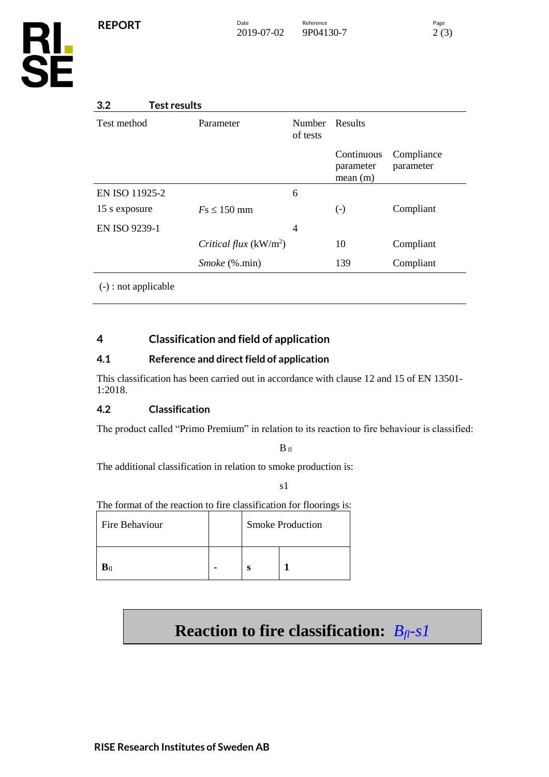

# **3.2 Test results**

| $\ddotsc$<br>.         |                         |                           |                                    |                         |
|------------------------|-------------------------|---------------------------|------------------------------------|-------------------------|
| Test method            | Parameter               | <b>Number</b><br>of tests | Results                            |                         |
|                        |                         |                           | Continuous<br>parameter<br>mean(m) | Compliance<br>parameter |
| EN ISO 11925-2         |                         | 6                         |                                    |                         |
| 15 s exposure          | $Fs \leq 150$ mm        |                           | $\left( -\right)$                  | Compliant               |
| EN ISO 9239-1          |                         | 4                         |                                    |                         |
|                        | Critical flux $(kW/m2)$ |                           | 10                                 | Compliant               |
|                        | <i>Smoke</i> (%.min)    |                           | 139                                | Compliant               |
| $(-)$ : not applicable |                         |                           |                                    |                         |

# **4 Classification and field of application**

## **4.1 Reference and direct field of application**

This classification has been carried out in accordance with clause 12 and 15 of EN 13501- 1:2018.

# **4.2 Classification**

The product called "Primo Premium" in relation to its reaction to fire behaviour is classified:

 $B$  fl

The additional classification in relation to smoke production is:

s1

The format of the reaction to fire classification for floorings is:

| Fire Behaviour        |  | <b>Smoke Production</b> |  |
|-----------------------|--|-------------------------|--|
| $\mathbf{B}_{\rm fl}$ |  | c                       |  |

# **Reaction to fire classification:** *Bfl-s1*